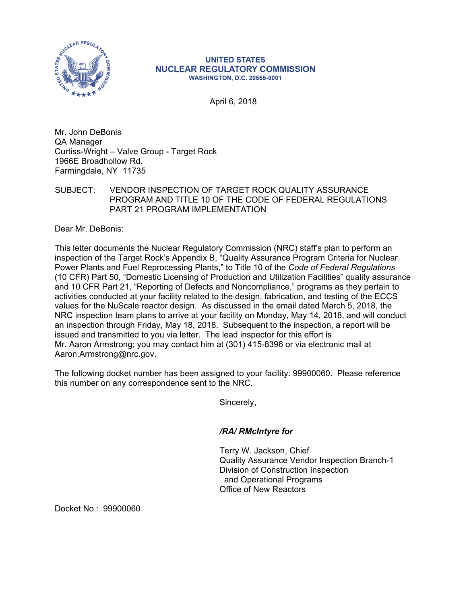

## **UNITED STATES NUCLEAR REGULATORY COMMISSION WASHINGTON, D.C. 20555-0001**

April 6, 2018

Mr. John DeBonis QA Manager Curtiss-Wright – Valve Group - Target Rock 1966E Broadhollow Rd. Farmingdale, NY 11735

SUBJECT: VENDOR INSPECTION OF TARGET ROCK QUALITY ASSURANCE PROGRAM AND TITLE 10 OF THE CODE OF FEDERAL REGULATIONS PART 21 PROGRAM IMPLEMENTATION

Dear Mr. DeBonis:

This letter documents the Nuclear Regulatory Commission (NRC) staff's plan to perform an inspection of the Target Rock's Appendix B, "Quality Assurance Program Criteria for Nuclear Power Plants and Fuel Reprocessing Plants," to Title 10 of the *Code of Federal Regulations*  (10 CFR) Part 50, "Domestic Licensing of Production and Utilization Facilities" quality assurance and 10 CFR Part 21, "Reporting of Defects and Noncompliance," programs as they pertain to activities conducted at your facility related to the design, fabrication, and testing of the ECCS values for the NuScale reactor design. As discussed in the email dated March 5, 2018, the NRC inspection team plans to arrive at your facility on Monday, May 14, 2018, and will conduct an inspection through Friday, May 18, 2018. Subsequent to the inspection, a report will be issued and transmitted to you via letter. The lead inspector for this effort is Mr. Aaron Armstrong; you may contact him at (301) 415-8396 or via electronic mail at Aaron.Armstrong@nrc.gov.

The following docket number has been assigned to your facility: 99900060. Please reference this number on any correspondence sent to the NRC.

Sincerely,

## */RA/ RMcIntyre for*

Terry W. Jackson, Chief Quality Assurance Vendor Inspection Branch-1 Division of Construction Inspection and Operational Programs Office of New Reactors

Docket No.: 99900060